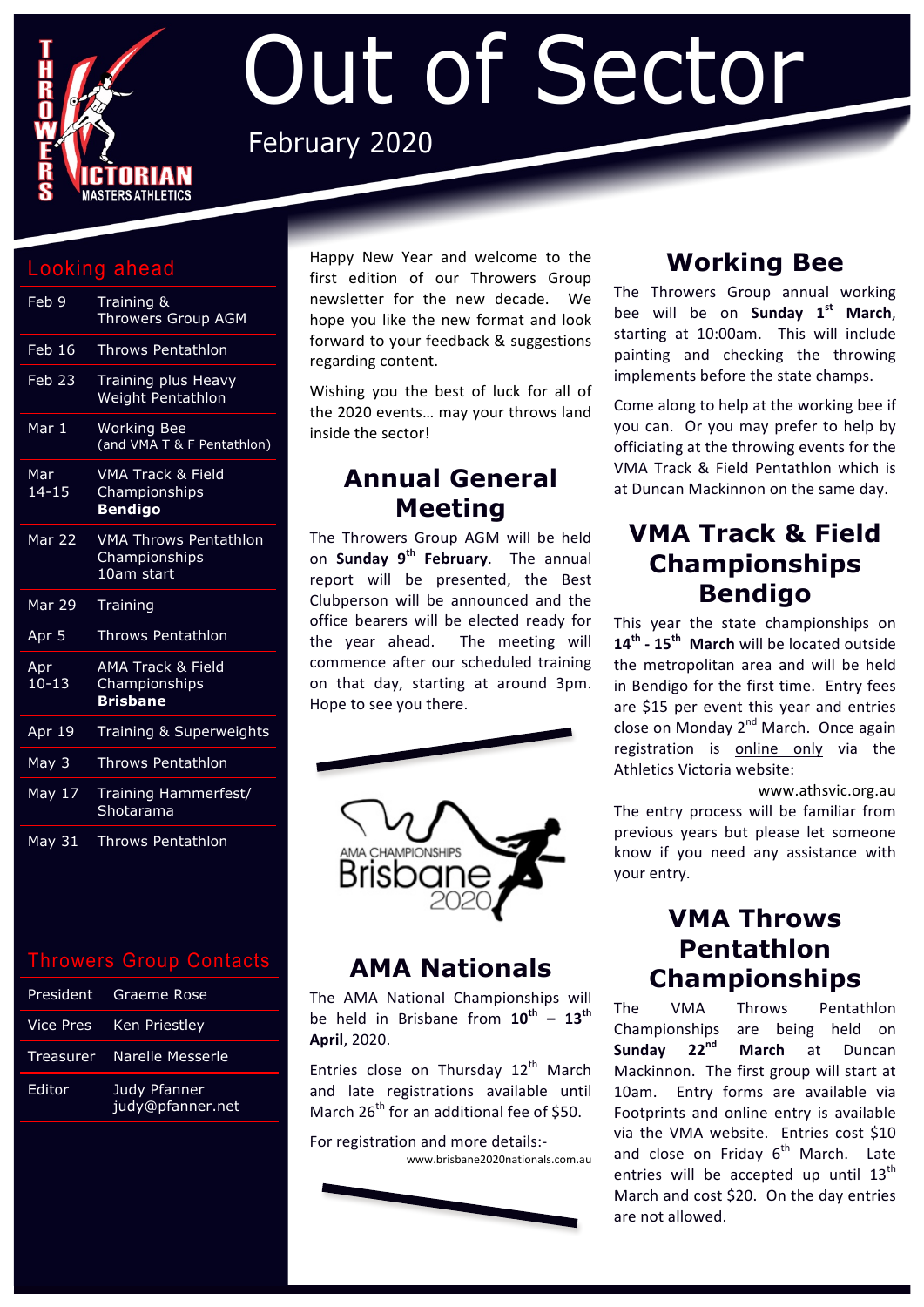

# Out of Sector February 2020

#### Looking ahead

| Feb 9               | Training &<br><b>Throwers Group AGM</b>                         |
|---------------------|-----------------------------------------------------------------|
| <b>Feb 16</b>       | <b>Throws Pentathlon</b>                                        |
| Feb 23              | Training plus Heavy<br>Weight Pentathlon                        |
| Mar 1               | <b>Working Bee</b><br>(and VMA T & F Pentathlon)                |
| Mar<br>$14 - 15$    | <b>VMA Track &amp; Field</b><br>Championships<br><b>Bendigo</b> |
| Mar 22              | <b>VMA Throws Pentathlon</b><br>Championships<br>10am start     |
| Mar 29              | Training                                                        |
| Apr <sub>5</sub>    | <b>Throws Pentathlon</b>                                        |
| Apr<br>$10 - 13$    | AMA Track & Field<br>Championships<br><b>Brisbane</b>           |
| Apr 19              | Training & Superweights                                         |
| May 3               | <b>Throws Pentathlon</b>                                        |
| $\overline{May}$ 17 | Training Hammerfest/<br>Shotarama                               |
| May 31              | <b>Throws Pentathlon</b>                                        |

#### Throwers Group Contacts

|        | President Graeme Rose            |
|--------|----------------------------------|
|        | Vice Pres Ken Priestley          |
|        | Treasurer Narelle Messerle       |
| Editor | Judy Pfanner<br>judy@pfanner.net |

Happy New Year and welcome to the first edition of our Throwers Group newsletter for the new decade. We hope vou like the new format and look forward to your feedback & suggestions regarding content.

Wishing you the best of luck for all of the 2020 events... may your throws land inside the sector!

#### **Annual General Meeting**

The Throwers Group AGM will be held on **Sunday 9<sup>th</sup> February**. The annual report will be presented, the Best Clubperson will be announced and the office bearers will be elected ready for the year ahead. The meeting will commence after our scheduled training on that day, starting at around 3pm. Hope to see you there.



## **AMA Nationals**

The AMA National Championships will be held in Brisbane from  $10^{th}$  -  $13^{th}$ **April**, 2020. 

Entries close on Thursday  $12<sup>th</sup>$  March and late registrations available until March  $26<sup>th</sup>$  for an additional fee of \$50.

For registration and more details:www.brisbane2020nationals.com.au



# **Working Bee**

The Throwers Group annual working bee will be on **Sunday 1st March**, starting at 10:00am. This will include painting and checking the throwing implements before the state champs.

Come along to help at the working bee if you can. Or you may prefer to help by officiating at the throwing events for the VMA Track & Field Pentathlon which is at Duncan Mackinnon on the same day.

### **VMA Track & Field Championships Bendigo**

This year the state championships on 14<sup>th</sup> - 15<sup>th</sup> March will be located outside the metropolitan area and will be held in Bendigo for the first time. Entry fees are \$15 per event this year and entries close on Monday 2<sup>nd</sup> March. Once again registration is online only via the Athletics Victoria website:

www.athsvic.org.au The entry process will be familiar from previous years but please let someone know if you need any assistance with your entry.

#### **VMA Throws Pentathlon Championships**

The VMA Throws Pentathlon Championships are being held on<br> **Sunday 22<sup>nd</sup> March** at Duncan **Sunday 22nd March** at Duncan Mackinnon. The first group will start at 10am. Entry forms are available via Footprints and online entry is available via the VMA website. Entries cost \$10 and close on Friday  $6<sup>th</sup>$  March. Late entries will be accepted up until  $13<sup>th</sup>$ March and cost \$20. On the day entries are not allowed.